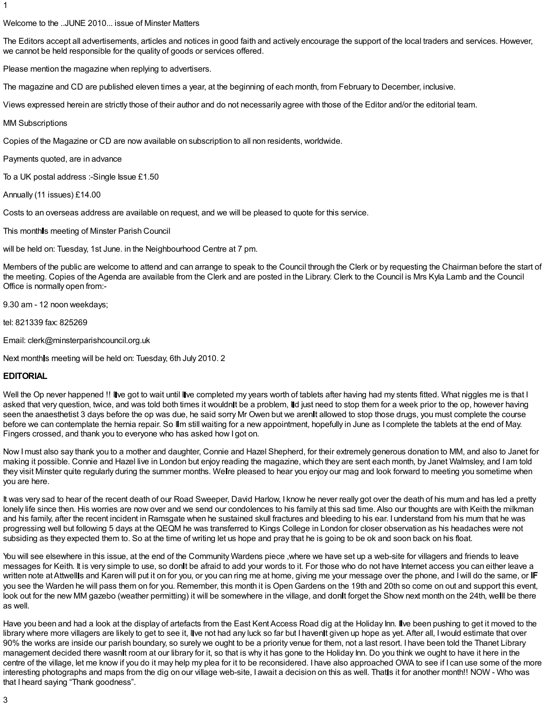#### Welcome to the ..JUNE 2010... issue of Minster Matters

The Editors accept all advertisements, articles and notices in good faith and actively encourage the support of the local traders and services. However, we cannot be held responsible for the quality of goods or services offered.

Please mention the magazine when replying to advertisers.

The magazine and CD are published eleven times a year, at the beginning of each month, from February to December, inclusive.

Views expressed herein are strictly those of their author and do not necessarily agree with those of the Editor and/or the editorial team.

#### MM Subscriptions

Copies of the Magazine or CD are now available on subscription to all non residents, worldwide.

Payments quoted, are in advance

To a UK postal address :- Single Issue £1.50

Annually (11 issues) £14.00

Costs to an overseas address are available on request, and we will be pleased to quote for this service.

This monthls meeting of Minster Parish Council

will be held on: Tuesday, 1st June. in the Neighbourhood Centre at 7 pm.

Members of the public are welcome to attend and can arrange to speak to the Council through the Clerk or by requesting the Chairman before the start of the meeting. Copies of the Agenda are available from the Clerk and are posted in the Library. Clerk to the Council is Mrs Kyla Lamb and the Council Office is normally open from:-

9.30 am - 12 noon weekdays;

tel: 821339 fax: 825269

Email: clerk@minsterparishcouncil.org.uk

Next month s meeting will be held on: Tuesday, 6th July 2010. 2

#### **EDITORIAL**

Well the Op never happened !! Ive got to wait until Ive completed my years worth of tablets after having had my stents fitted. What niggles me is that I asked that very question, twice, and was told both times it wouldnit be a problem, lid just need to stop them for a week prior to the op, however having seen the anaesthetist 3 days before the op was due, he said sorry Mr Owen but we arenit allowed to stop those drugs, you must complete the course before we can contemplate the hernia repair. So IIm still waiting for a new appointment, hopefully in June as I complete the tablets at the end of May. Fingers crossed, and thank you to everyone who has asked how I got on.

Now Imust also say thank you to a mother and daughter, Connie and Hazel Shepherd, for their extremely generous donation to MM, and also to Janet for making it possible. Connie and Hazel live in London but enjoy reading the magazine, which they are sent each month, by Janet Walmsley, and I am told they visit Minster quite regularly during the summer months. Welre pleased to hear you enjoy our mag and look forward to meeting you sometime when you are here.

It was very sad to hear of the recent death of our Road Sweeper, David Harlow, I know he never really got over the death of his mum and has led a pretty lonely life since then. His worries are now over and we send our condolences to his family at this sad time. Also our thoughts are with Keith the milkman and his family, after the recent incident in Ramsgate when he sustained skull fractures and bleeding to his ear. I understand from his mum that he was progressing well but following 5 days at the QEQM he was transferred to Kings College in London for closer observation as his headaches were not subsiding as they expected them to. So at the time of writing let us hope and pray that he is going to be ok and soon back on his float.

You will see elsewhere in this issue, at the end of the Community Wardens piece ,where we have set up a web-site for villagers and friends to leave messages for Keith. It is very simple to use, so donit be afraid to add your words to it. For those who do not have Internet access you can either leave a written note at Attwellls and Karen will put it on for you, or you can ring me at home, giving me your message over the phone, and I will do the same, or IF you see the Warden he will pass them on for you. Remember, this month it is OpenGardens on the 19th and 20th so come on out and support this event, look out for the new MM gazebo (weather permitting) it will be somewhere in the village, and don**i**t forget the Show next month on the 24th, welll be there as well.

Have you been and had a look at the display of artefacts from the East Kent Access Road dig at the Holiday Inn. Ilve been pushing to get it moved to the library where more villagers are likely to get to see it, live not had any luck so far but I havenit given up hope as yet. After all, I would estimate that over 90% the works are inside our parish boundary, so surely we ought to be a priority venue for them, not a last resort. I have been told the Thanet Library management decided there wasnlt room at our library for it, so that is why it has gone to the Holiday Inn. Do you think we ought to have it here in the centre of the village, let me know if you do it may help my plea for it to be reconsidered. I have also approached OWA to see if I can use some of the more interesting photographs and maps from the dig on our village web-site, I await a decision on this as well. That is it for another month!! NOW - Who was that I heard saying "Thank goodness".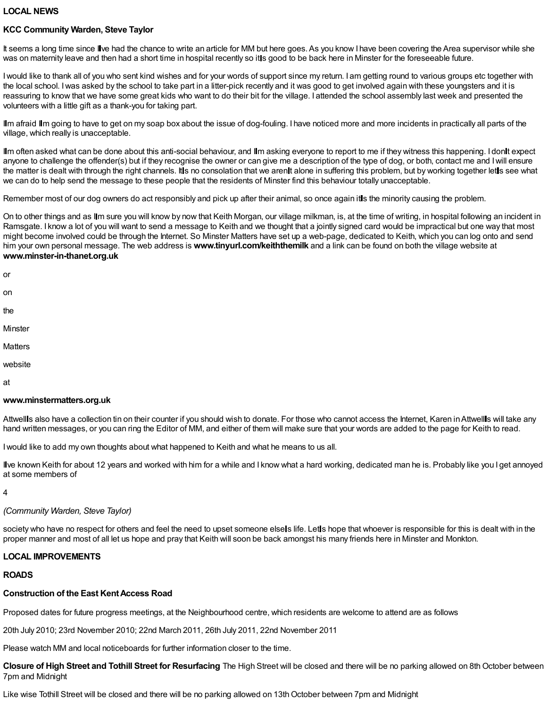#### **LOCAL NEWS**

#### **KCC Community Warden, Steve Taylor**

It seems a long time since Ilve had the chance to write an article for MM but here goes. As you know I have been covering the Area supervisor while she was on maternity leave and then had a short time in hospital recently so itls good to be back here in Minster for the foreseeable future.

Iwould like to thank all of you who sent kind wishes and for your words of support since my return. I am getting round to various groups etc together with the local school. Iwas asked by the school to take part in a litter-pick recently and it was good to get involved again with these youngsters and it is reassuring to know that we have some great kids who want to do their bit for the village. I attended the school assembly last week and presented the volunteers with a little gift as a thank-you for taking part.

Ilm afraid Ilm going to have to get on my soap box about the issue of dog-fouling. I have noticed more and more incidents in practically all parts of the village, which really is unacceptable.

Ilm often asked what can be done about this anti-social behaviour, and Ilm asking everyone to report to me if they witness this happening. I donit expect anyone to challenge the offender(s) but if they recognise the owner or can give me a description of the type of dog, or both, contact me and Iwill ensure the matter is dealt with through the right channels. It is no consolation that we aren it alone in suffering this problem, but by working together let is see what we can do to help send the message to these people that the residents of Minster find this behaviour totally unacceptable.

Remember most of our dog owners do act responsibly and pick up after their animal, so once again it is the minority causing the problem.

On to other things and as Ilm sure you will know by now that Keith Morgan, our village milkman, is, at the time of writing, in hospital following an incident in Ramsgate. I know a lot of you will want to send a message to Keith and we thought that a jointly signed card would be impractical but one way that most might become involved could be through the Internet. So Minster Matters have set up a web-page, dedicated to Keith, which you can log onto and send him your own personal message. The web address is **www.tinyurl.com/keiththemilk** and a link can be found on both the village website at **www.minster-in-thanet.org.uk**

or

on

the

**Minster** 

**Matters** 

website

at

#### **www.minstermatters.org.uk**

Attwell s also have a collection tin on their counter if you should wish to donate. For those who cannot access the Internet, Karen in Attwell s will take any hand written messages, or you can ring the Editor of MM, and either of them will make sure that your words are added to the page for Keith to read.

Iwould like to add my own thoughts about what happened to Keith and what he means to us all.

I ve known Keith for about 12 years and worked with him for a while and I know what a hard working, dedicated man he is. Probably like you I get annoyed at some members of

4

## *(Community Warden, Steve Taylor)*

society who have no respect for others and feel the need to upset someone elsels life. Let s hope that whoever is responsible for this is dealt with in the proper manner and most of all let us hope and pray that Keith will soon be back amongst his many friends here in Minster and Monkton.

#### **LOCAL IMPROVEMENTS**

## **ROADS**

#### **Construction of the East KentAccess Road**

Proposed dates for future progress meetings, at the Neighbourhood centre, which residents are welcome to attend are as follows

20th July 2010; 23rd November 2010; 22nd March 2011, 26th July 2011, 22nd November 2011

Please watch MM and local noticeboards for further information closer to the time.

**Closure of High Street and Tothill Street for Resurfacing The High Street will be closed and there will be no parking allowed on 8th October between** 7pm and Midnight

Like wise Tothill Street will be closed and there will be no parking allowed on 13th October between 7pm and Midnight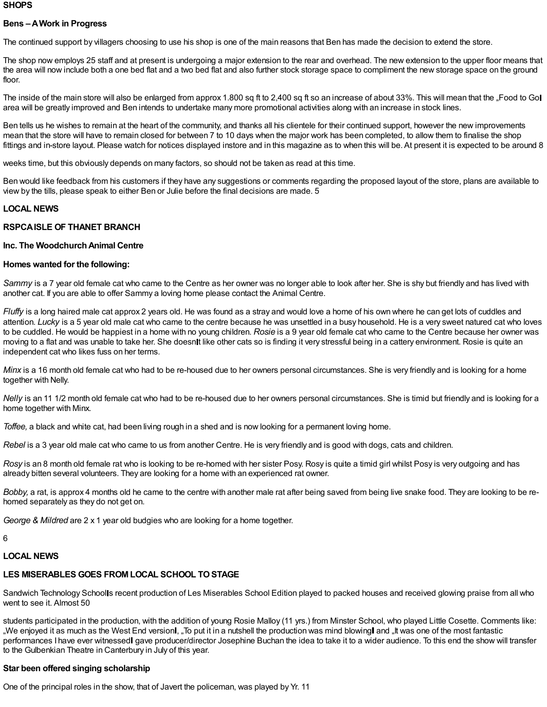#### **SHOPS**

#### **Bens –AWork in Progress**

The continued support by villagers choosing to use his shop is one of the main reasons that Ben has made the decision to extend the store.

The shop now employs 25 staff and at present is undergoing a major extension to the rear and overhead. The new extension to the upper floor means that the area will now include both a one bed flat and a two bed flat and also further stock storage space to compliment the new storage space on the ground floor.

The inside of the main store will also be enlarged from approx 1.800 sq ft to 2,400 sq ft so an increase of about 33%. This will mean that the "Food to Gol area will be greatly improved and Ben intends to undertake many more promotional activities along with an increase in stock lines.

Ben tells us he wishes to remain at the heart of the community, and thanks all his clientele for their continued support, however the new improvements mean that the store will have to remain closed for between 7 to 10 days when the major work has been completed, to allow them to finalise the shop fittings and in-store layout. Please watch for notices displayed instore and in this magazine as to when this will be. At present it is expected to be around 8

weeks time, but this obviously depends on many factors, so should not be taken as read at this time.

Ben would like feedback from his customers if they have any suggestions or comments regarding the proposed layout of the store, plans are available to view by the tills, please speak to either Ben or Julie before the final decisions are made. 5

#### **LOCAL NEWS**

#### **RSPCAISLE OF THANET BRANCH**

#### **Inc. The WoodchurchAnimal Centre**

#### **Homes wanted for the following:**

*Sammy* is a 7 year old female cat who came to the Centre as her owner was no longer able to look after her. She is shy but friendly and has lived with another cat. If you are able to offer Sammy a loving home please contact the Animal Centre.

*Fluffy* is a long haired male cat approx 2 years old. He was found as a stray and would love a home of his own where he can get lots of cuddles and attention. *Lucky* is a 5 year old male cat who came to the centre because he was unsettled in a busy household. He is a very sweet natured cat who loves to be cuddled. He would be happiest in a home with no young children. *Rosie* is a 9 year old female cat who came to the Centre because her owner was moving to a flat and was unable to take her. She doesnit like other cats so is finding it very stressful being in a cattery environment. Rosie is quite an independent cat who likes fuss on her terms.

*Minx* is a 16 month old female cat who had to be re-housed due to her owners personal circumstances. She is very friendly and is looking for a home together with Nelly.

*Nelly* is an 11 1/2 month old female cat who had to be re-housed due to her owners personal circumstances. She is timid but friendly and is looking for a home together with Minx.

*Toffee,* a black and white cat, had been living rough in a shed and is now looking for a permanent loving home.

*Rebel* is a 3 year old male cat who came to us from another Centre. He is very friendly and is good with dogs, cats and children.

*Rosy* is an 8 month old female rat who is looking to be re-homed with her sister Posy. Rosy is quite a timid girl whilst Posy is very outgoing and has already bitten several volunteers. They are looking for a home with an experienced rat owner.

*Bobby,* a rat, is approx 4 months old he came to the centre with another male rat after being saved from being live snake food. They are looking to be rehomed separately as they do not get on.

*George & Mildred* are 2 x 1 year old budgies who are looking for a home together.

6

#### **LOCAL NEWS**

#### **LES MISERABLES GOES FROM LOCAL SCHOOL TOSTAGE**

Sandwich Technology Schoolls recent production of Les Miserables School Edition played to packed houses and received glowing praise from all who went to see it. Almost 50

students participated in the production, with the addition of young Rosie Malloy (11 yrs.) from Minster School, who played Little Cosette. Comments like: "We enjoyed it as much as the West End version , "To put it in a nutshell the production was mind blowing and "It was one of the most fantastic performances I have ever witnessedl gave producer/director Josephine Buchan the idea to take it to a wider audience. To this end the show will transfer to the Gulbenkian Theatre in Canterbury in July of this year.

#### **Star been offered singing scholarship**

One of the principal roles in the show, that of Javert the policeman, was played by Yr. 11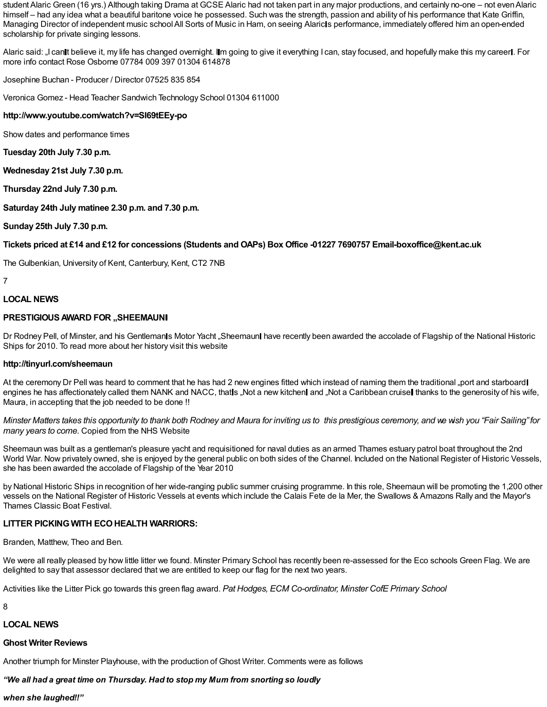student Alaric Green (16 yrs.) Although taking Drama at GCSE Alaric had not taken part in any major productions, and certainly no-one – not even Alaric himself – had any idea what a beautiful baritone voice he possessed. Such was the strength, passion and ability of his performance that Kate Griffin, Managing Director of independent music school All Sorts of Music in Ham, on seeing Alaric Is performance, immediately offered him an open-ended scholarship for private singing lessons.

Alaric said: "I can It believe it, my life has changed overnight. IIm going to give it everything I can, stay focused, and hopefully make this my career I. For more info contact Rose Osborne 07784 009 397 01304 614878

Josephine Buchan - Producer / Director 07525 835 854

Veronica Gomez - Head Teacher Sandwich Technology School 01304 611000

#### **http://www.youtube.com/watch?v=SI69tEEy-po**

Show dates and performance times

**Tuesday 20th July 7.30 p.m.**

**Wednesday 21st July 7.30 p.m.**

**Thursday 22nd July 7.30 p.m.**

**Saturday 24th July matinee 2.30 p.m. and 7.30 p.m.**

**Sunday 25th July 7.30 p.m.**

#### Tickets priced at £14 and £12 for concessions (Students and OAPs) Box Office -01227 7690757 Email-boxoffice@kent.ac.uk

The Gulbenkian, University of Kent, Canterbury, Kent, CT2 7NB

#### 7

#### **LOCAL NEWS**

#### **PRESTIGIOUSAWARD FOR "SHEEMAUN**

Dr Rodney Pell, of Minster, and his Gentlemanls Motor Yacht "Sheemaunl have recently been awarded the accolade of Flagship of the National Historic Ships for 2010. To read more about her history visit this website

#### **http://tinyurl.com/sheemaun**

At the ceremony Dr Pell was heard to comment that he has had 2 new engines fitted which instead of naming them the traditional "port and starboard engines he has affectionately called them NANK and NACC, that s, Not a new kitchen and "Not a Caribbean cruise thanks to the generosity of his wife, Maura, in accepting that the job needed to be done !!

Minster Matters takes this opportunity to thank both Rodney and Maura for inviting us to this prestigious ceremony, and we wish you "Fair Sailing" for *many years to come.* Copied from the NHS Website

Sheemaun was built as a gentleman's pleasure yacht and requisitioned for naval duties as an armed Thames estuary patrol boat throughout the 2nd World War. Now privately owned, she is enjoyed by the general public on both sides of the Channel. Included on the National Register of Historic Vessels, she has been awarded the accolade of Flagship of the Year 2010

by National Historic Ships in recognition of her wide-ranging public summer cruising programme. In this role, Sheemaun will be promoting the 1,200 other vessels on the National Register of Historic Vessels at events which include the Calais Fete de la Mer, the Swallows & Amazons Rally and the Mayor's Thames Classic Boat Festival.

#### **LITTER PICKING WITH ECOHEALTH WARRIORS:**

Branden, Matthew, Theo and Ben.

We were all really pleased by how little litter we found. Minster Primary School has recently been re-assessed for the Eco schools Green Flag. We are delighted to say that assessor declared that we are entitled to keep our flag for the next two years.

Activities like the Litter Pick go towards this green flag award. *Pat Hodges, ECM Co-ordinator, Minster CofE Primary School*

8

#### **LOCAL NEWS**

#### **Ghost Writer Reviews**

Another triumph for Minster Playhouse, with the production of Ghost Writer. Comments were as follows

## *"We all had a great time on Thursday. Had to stop my Mum from snorting so loudly*

#### *when she laughed!!"*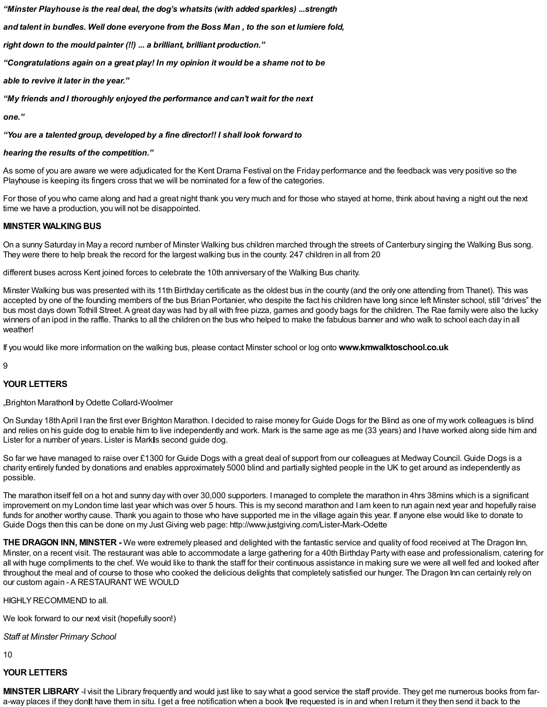*"Minster Playhouse is the real deal, the dog's whatsits (with added sparkles) ...strength*

*and talent in bundles. Well done everyone from the Boss Man , to the son et lumiere fold,*

*right down to the mould painter (!!) ... a brilliant, brilliant production."*

*"Congratulations again on a great play! In my opinion it would be a shame not to be*

*able to revive it later in the year."*

*"My friends and I thoroughly enjoyed the performance and can't wait for the next*

*one."*

*"You are a talented group, developed by a fine director!! I shall look forward to*

#### *hearing the results of the competition."*

As some of you are aware we were adjudicated for the Kent Drama Festival on the Friday performance and the feedback was very positive so the Playhouse is keeping its fingers cross that we will be nominated for a few of the categories.

For those of you who came along and had a great night thank you very much and for those who stayed at home, think about having a night out the next time we have a production, you will not be disappointed.

#### **MINSTER WALKINGBUS**

On a sunny Saturday in May a record number of Minster Walking bus children marched through the streets of Canterbury singing the Walking Bus song. They were there to help break the record for the largest walking bus in the county. 247 children in all from 20

different buses across Kent joined forces to celebrate the 10th anniversary of the Walking Bus charity.

Minster Walking bus was presented with its 11th Birthday certificate as the oldest bus in the county (and the only one attending from Thanet). This was accepted by one of the founding members of the bus Brian Portanier, who despite the fact his children have long since left Minster school, still "drives" the bus most days down Tothill Street.A great day was had by all with free pizza, games and goody bags for the children. The Rae family were also the lucky winners of an ipod in the raffle. Thanks to all the children on the bus who helped to make the fabulous banner and who walk to school each day in all weather!

If you would like more information on the walking bus, please contact Minster school or log onto **www.kmwalktoschool.co.uk**

9

#### **YOUR LETTERS**

"Brighton Marathon by Odette Collard-Woolmer

On Sunday 18thApril Iran the first ever Brighton Marathon. I decided to raise money for Guide Dogs for the Blind as one of my work colleagues is blind and relies on his guide dog to enable him to live independently and work. Mark is the same age as me (33 years) and I have worked along side him and Lister for a number of years. Lister is Mark s second guide dog.

So far we have managed to raise over £1300 for Guide Dogs with a great deal of support from our colleagues at Medway Council. Guide Dogs is a charity entirely funded by donations and enables approximately 5000 blind and partially sighted people in the UK to get around as independently as possible.

The marathon itself fell on a hot and sunny day with over 30,000 supporters. I managed to complete the marathon in 4hrs 38mins which is a significant improvement on my London time last year which was over 5 hours. This is my second marathon and I am keen to run again next year and hopefully raise funds for another worthy cause. Thank you again to those who have supported me in the village again this year. If anyone else would like to donate to Guide Dogs then this can be done on my Just Giving web page: http://www.justgiving.com/Lister-Mark-Odette

**THE DRAGON INN, MINSTER -** We were extremely pleased and delighted with the fantastic service and quality of food received at The Dragon Inn, Minster, on a recent visit. The restaurant was able to accommodate a large gathering for a 40th Birthday Party with ease and professionalism, catering for all with huge compliments to the chef. We would like to thank the staff for their continuous assistance in making sure we were all well fed and looked after throughout the meal and of course to those who cooked the delicious delights that completely satisfied our hunger. The Dragon Inn can certainly rely on our custom again - A RESTAURANT WE WOULD

HIGHLY RECOMMEND to all.

We look forward to our next visit (hopefully soon!)

*Staff at Minster Primary School*

10

#### **YOUR LETTERS**

**MINSTER LIBRARY** -I visit the Library frequently and would just like to say what a good service the staff provide. They get me numerous books from fara-way places if they donit have them in situ. I get a free notification when a book live requested is in and when I return it they then send it back to the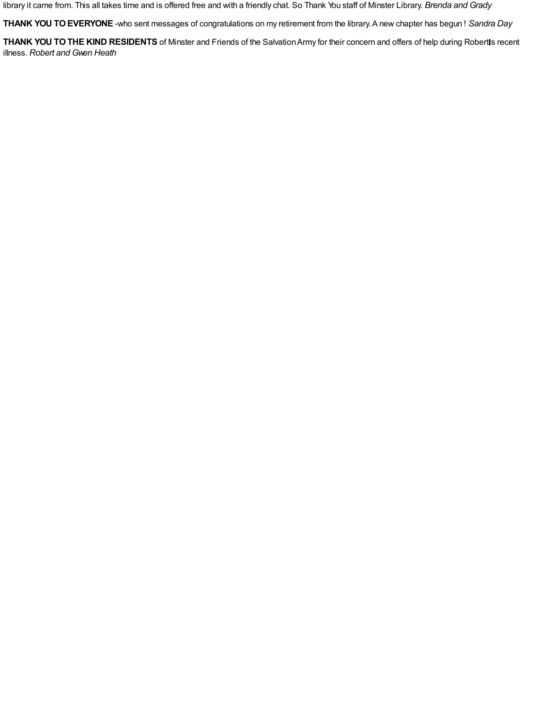library it came from. This all takes time and is offered free and with a friendly chat. So Thank You staff of Minster Library. *Brenda and Grady*

**THANK YOU TOEVERYONE** -who sent messages of congratulations on my retirement from the library.A new chapter has begun ! *Sandra Day*

**THANK YOU TO THE KIND RESIDENTS** of Minster and Friends of the Salvation Army for their concern and offers of help during Robertls recent illness. *Robert and Gwen Heath*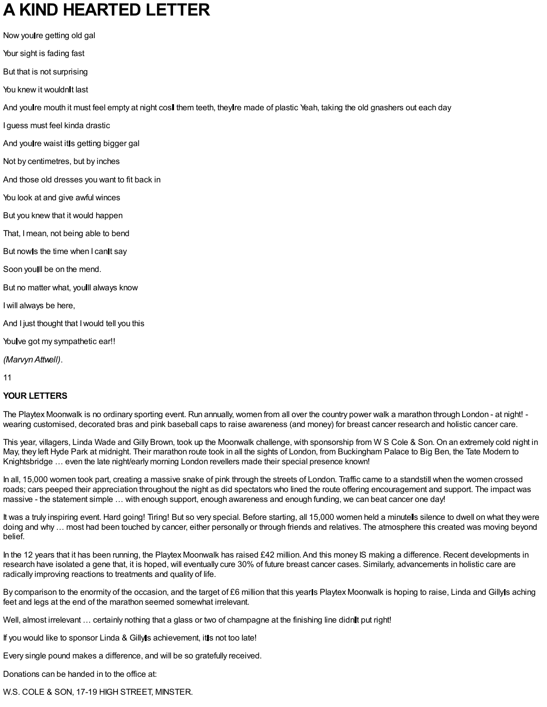## **A KIND HEARTED LETTER**

Now you re getting old gal

Your sight is fading fast

But that is not surprising

You knew it wouldn't last

And youlre mouth it must feel empty at night cosl them teeth, they re made of plastic Yeah, taking the old gnashers out each day

I guess must feel kinda drastic

And you re waist it is getting bigger gal

Not by centimetres, but by inches

And those old dresses you want to fit back in

You look at and give awful winces

But you knew that it would happen

That, Imean, not being able to bend

But now s the time when I can It say

Soon youll be on the mend.

But no matter what, you ll always know

Iwill always be here,

And I just thought that Iwould tell you this

You ve got my sympathetic ear!!

*(MarvynAttwell)*.

11

#### **YOUR LETTERS**

The Playtex Moonwalk is no ordinary sporting event. Run annually, women from all over the country power walk a marathon through London - at night! wearing customised, decorated bras and pink baseball caps to raise awareness (and money) for breast cancer research and holistic cancer care.

This year, villagers, Linda Wade and Gilly Brown, took up the Moonwalk challenge, with sponsorship from W S Cole & Son. On an extremely cold night in May, they left Hyde Park at midnight. Their marathon route took in all the sights of London, from Buckingham Palace to Big Ben, the Tate Modern to Knightsbridge … even the late night/early morning London revellers made their special presence known!

In all, 15,000 women took part, creating a massive snake of pink through the streets of London. Traffic came to a standstill when the women crossed roads; cars peeped their appreciation throughout the night as did spectators who lined the route offering encouragement and support. The impact was massive - the statement simple … with enough support, enough awareness and enough funding, we can beat cancer one day!

It was a truly inspiring event. Hard going! Tiring! But so very special. Before starting, all 15,000 women held a minutels silence to dwell on what they were doing and why … most had been touched by cancer, either personally or through friends and relatives. The atmosphere this created was moving beyond belief.

In the 12 years that it has been running, the Playtex Moonwalk has raised £42 million. And this money IS making a difference. Recent developments in research have isolated a gene that, it is hoped, will eventually cure 30% of future breast cancer cases. Similarly, advancements in holistic care are radically improving reactions to treatments and quality of life.

By comparison to the enormity of the occasion, and the target of £6 million that this yearls Playtex Moonwalk is hoping to raise, Linda and Gilly s aching feet and legs at the end of the marathon seemed somewhat irrelevant.

Well, almost irrelevant ... certainly nothing that a glass or two of champagne at the finishing line didnit put right!

If you would like to sponsor Linda & Gilly is achievement, it is not too late!

Every single pound makes a difference, and will be so gratefully received.

Donations can be handed in to the office at:

W.S. COLE & SON, 17-19 HIGH STREET, MINSTER.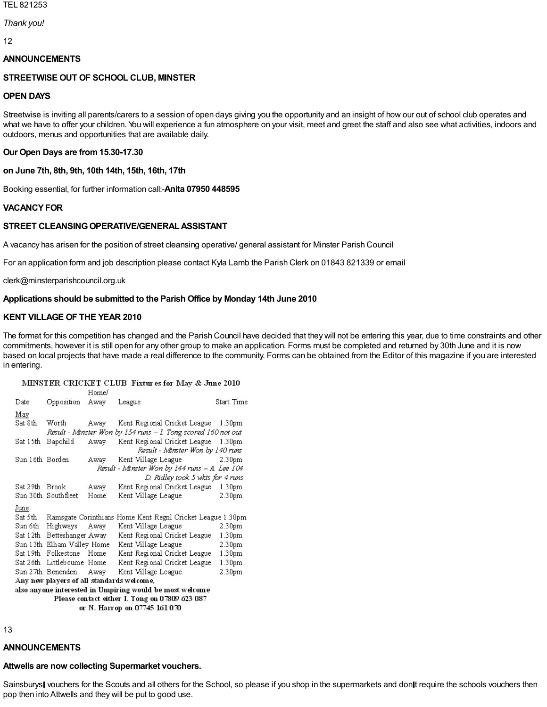#### TEL 821253

#### *Thank you!*

12

#### **ANNOUNCEMENTS**

#### **STREETWISE OUT OF SCHOOL CLUB, MINSTER**

#### **OPEN DAYS**

Streetwise is inviting all parents/carers to a session of open days giving you the opportunity and an insight of how our out of school club operates and what we have to offer your children. You will experience a fun atmosphere on your visit, meet and greet the staff and also see what activities, indoors and outdoors, menus and opportunities that are available daily.

#### **Our Open Days are from15.30-17.30**

**on June 7th, 8th, 9th, 10th 14th, 15th, 16th, 17th**

Booking essential, for further information call:-**Anita 07950 448595**

#### **VACANCYFOR**

#### **STREET CLEANSINGOPERATIVE/GENERALASSISTANT**

A vacancy has arisen for the position of street cleansing operative/ general assistant for Minster Parish Council

For an application form and job description please contact Kyla Lamb the Parish Clerk on 01843 821339 or email

clerk@minsterparishcouncil.org.uk

#### **Applications should be submitted to the Parish Office by Monday 14th June 2010**

#### **KENT VILLAGE OF THE YEAR 2010**

The format for this competition has changed and the Parish Council have decided that they will not be entering this year, due to time constraints and other commitments, however it is still open for any other group to make an application. Forms must be completed and returned by 30th June and it is now based on local projects that have made a real difference to the community. Forms can be obtained from the Editor of this magazine if you are interested in entering.

#### MINSTER CRICKET CLUB Fixtures for May & June 2010

|                                                          |                                                               | Home/ |        |                                                             |                    |
|----------------------------------------------------------|---------------------------------------------------------------|-------|--------|-------------------------------------------------------------|--------------------|
| Date                                                     | Opposition                                                    | Away  | League |                                                             | Start Time         |
| May                                                      |                                                               |       |        |                                                             |                    |
| Sat 8th                                                  | Worth                                                         | Away  |        | Kent Regional Cricket League 1.30pm                         |                    |
|                                                          | Result - Minster Won by 154 runs – I. Tong scored 160 not out |       |        |                                                             |                    |
| Sat 15th                                                 | Bapchild                                                      | Away  |        | Kent Regional Cricket League                                | 1.30 <sub>pm</sub> |
|                                                          |                                                               |       |        | Result - Minster Won by 140 runs                            |                    |
| Sun 16th Borden                                          |                                                               | Away  |        | Kent Village League                                         | 2.30 <sub>pm</sub> |
|                                                          | Result - Minster Won by 144 runs – A. Lee 104                 |       |        |                                                             |                    |
|                                                          | D. Ridley took 5 wkts for 4 runs                              |       |        |                                                             |                    |
| Sat 29th Brook                                           |                                                               | Away  |        | Kent Regional Cricket League 1.30pm                         |                    |
|                                                          | Sun 30th Southfleet                                           | Home  |        | Kent Village League                                         | 2.30 <sub>pm</sub> |
| June                                                     |                                                               |       |        |                                                             |                    |
| Sat 5th                                                  | Ramsgate Corinthians Home Kent Regnl Cricket League 1.30pm    |       |        |                                                             |                    |
| Sun 6th                                                  | Highways                                                      | Away  |        | Kent Village League                                         | 2.30 <sub>pm</sub> |
|                                                          |                                                               |       |        | Sat 12th Betteshanger Away – Kent Regional Cricket League – | 1.30 <sub>pm</sub> |
|                                                          | Sun 13th Elham Valley Home                                    |       |        | Kent Village League                                         | 2.30 <sub>pm</sub> |
|                                                          | Sat 19th Folkestone Home                                      |       |        | Kent Regional Cricket League                                | 1.30 <sub>pm</sub> |
| Sat 26th -                                               | Littleboume Home                                              |       |        | Kent Regional Cricket League                                | 1.30 <sub>pm</sub> |
|                                                          | Sun 27th Benenden                                             |       |        | Away Kent Village League                                    | 2.30 <sub>pm</sub> |
| Any new players of all standards welcome,                |                                                               |       |        |                                                             |                    |
| also anyone interested in Umpiring would be most welcome |                                                               |       |        |                                                             |                    |
| Please contact either I. Tong on 07809 623 087           |                                                               |       |        |                                                             |                    |
| or N. Harrop on 07745 161 070                            |                                                               |       |        |                                                             |                    |

13

#### **ANNOUNCEMENTS**

#### **Attwells are now collecting Supermarket vouchers.**

Sainsburysl vouchers for the Scouts and all others for the School, so please if you shop in the supermarkets and donlt require the schools vouchers then pop then into Attwells and they will be put to good use.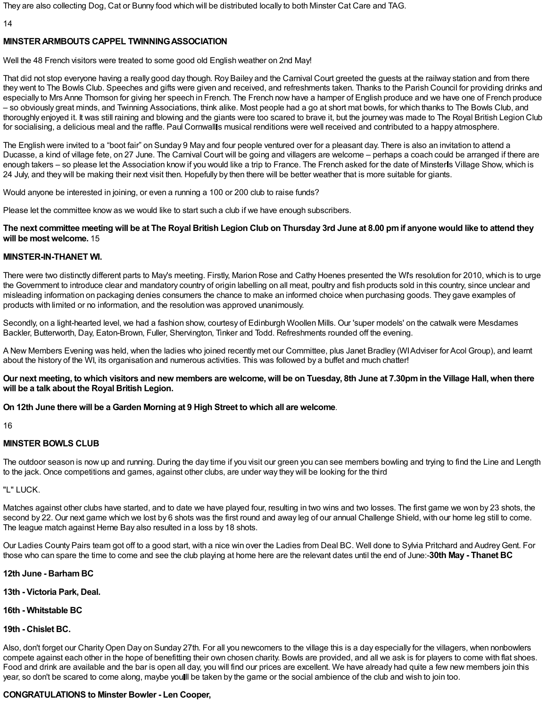They are also collecting Dog, Cat or Bunny food which will be distributed locally to both Minster Cat Care and TAG.

14

## **MINSTERARMBOUTS CAPPEL TWINNINGASSOCIATION**

Well the 48 French visitors were treated to some good old English weather on 2nd May!

That did not stop everyone having a really good day though. Roy Bailey and the Carnival Court greeted the guests at the railway station and from there they went to The Bowls Club. Speeches and gifts were given and received, and refreshments taken. Thanks to the Parish Council for providing drinks and especially to Mrs Anne Thomson for giving her speech in French. The French now have a hamper of English produce and we have one of French produce – so obviously great minds, and Twinning Associations, think alike. Most people had a go at short mat bowls, for which thanks to The Bowls Club, and thoroughly enjoyed it. It was still raining and blowing and the giants were too scared to brave it, but the journey was made to The Royal British Legion Club for socialising, a delicious meal and the raffle. Paul Cornwalls musical renditions were well received and contributed to a happy atmosphere.

The English were invited to a "boot fair" on Sunday 9 May and four people ventured over for a pleasant day. There is also an invitation to attend a Ducasse, a kind of village fete, on 27 June. The Carnival Court will be going and villagers are welcome – perhaps a coach could be arranged if there are enough takers – so please let the Association know if you would like a trip to France. The French asked for the date of Minsterls Village Show, which is 24 July, and they will be making their next visit then. Hopefully by then there will be better weather that is more suitable for giants.

Would anyone be interested in joining, or even a running a 100 or 200 club to raise funds?

Please let the committee know as we would like to start such a club if we have enough subscribers.

### The next committee meeting will be at The Royal British Legion Club on Thursday 3rd June at 8.00 pm if anyone would like to attend they **will be most welcome.** 15

#### **MINSTER-IN-THANET WI.**

There were two distinctly different parts to May's meeting. Firstly, Marion Rose and Cathy Hoenes presented the WI's resolution for 2010, which is to urge the Government to introduce clear and mandatory country of origin labelling on all meat, poultry and fish products sold in this country, since unclear and misleading information on packaging denies consumers the chance to make an informed choice when purchasing goods. They gave examples of products with limited or no information, and the resolution was approved unanimously.

Secondly, on a light-hearted level, we had a fashion show, courtesy of Edinburgh Woollen Mills. Our 'super models' on the catwalk were Mesdames Backler, Butterworth, Day, Eaton-Brown, Fuller, Shervington, Tinker and Todd. Refreshments rounded off the evening.

A New Members Evening was held, when the ladies who joined recently met our Committee, plus Janet Bradley (WIAdviser for Acol Group), and learnt about the history of the WI, its organisation and numerous activities. This was followed by a buffet and much chatter!

Our next meeting, to which visitors and new members are welcome, will be on Tuesday, 8th June at 7.30pm in the Village Hall, when there **will be a talk about the Royal British Legion.**

**On 12th June there will be a Garden Morning at 9 High Street to which all are welcome**.

16

#### **MINSTER BOWLS CLUB**

The outdoor season is now up and running. During the day time if you visit our green you can see members bowling and trying to find the Line and Length to the jack. Once competitions and games, against other clubs, are under way they will be looking for the third

"L" LUCK.

Matches against other clubs have started, and to date we have played four, resulting in two wins and two losses. The first game we won by 23 shots, the second by 22. Our next game which we lost by 6 shots was the first round and away leg of our annual Challenge Shield, with our home leg still to come. The league match against Herne Bay also resulted in a loss by 18 shots.

Our Ladies County Pairs team got off to a good start, with a nice win over the Ladies from Deal BC. Well done to Sylvia Pritchard and AudreyGent. For those who can spare the time to come and see the club playing at home here are the relevant dates until the end of June:-**30th May - Thanet BC**

#### **12th June - BarhamBC**

**13th - Victoria Park, Deal.**

#### **16th - Whitstable BC**

#### **19th - Chislet BC.**

Also, don't forget our CharityOpen Day on Sunday 27th. For all you newcomers to the village this is a day especially for the villagers, when nonbowlers compete against each other in the hope of benefitting their own chosen charity. Bowls are provided, and all we ask is for players to come with flat shoes. Food and drink are available and the bar is open all day, you will find our prices are excellent. We have already had quite a few new members join this year, so don't be scared to come along, maybe youll be taken by the game or the social ambience of the club and wish to join too.

#### **CONGRATULATIONS to Minster Bowler - Len Cooper,**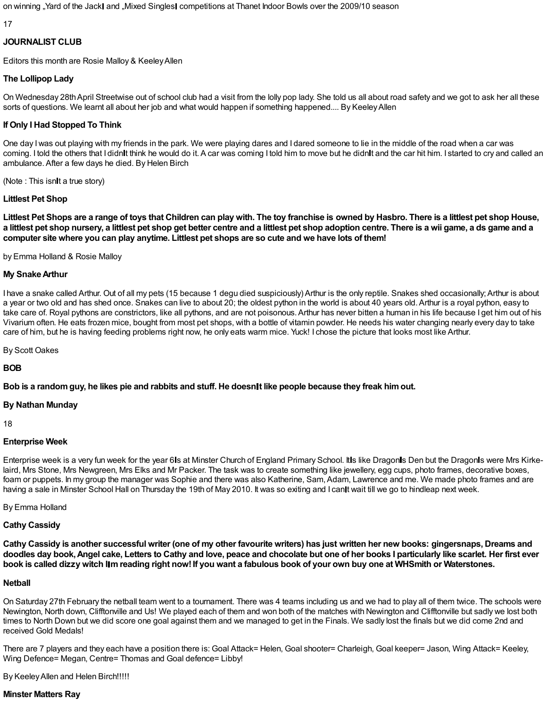on winning "Yard of the Jack and "Mixed Singles competitions at Thanet Indoor Bowls over the 2009/10 season

17

#### **JOURNALIST CLUB**

Editors this month are Rosie Malloy & KeeleyAllen

## **The Lollipop Lady**

On Wednesday 28thApril Streetwise out of school club had a visit from the lolly pop lady. She told us all about road safety and we got to ask her all these sorts of questions. We learnt all about her job and what would happen if something happened.... By Keeley Allen

## **If Only I Had Stopped To Think**

One day Iwas out playing with my friends in the park. We were playing dares and I dared someone to lie in the middle of the road when a car was coming. I told the others that I didnit think he would do it. A car was coming I told him to move but he didnit and the car hit him. I started to cry and called an ambulance.After a few days he died. By Helen Birch

(Note : This isnit a true story)

## **Littlest Pet Shop**

Littlest Pet Shops are a range of toys that Children can play with. The toy franchise is owned by Hasbro. There is a littlest pet shop House, a littlest pet shop nursery, a littlest pet shop get better centre and a littlest pet shop adoption centre. There is a wii game, a ds game and a computer site where you can play anytime. Littlest pet shops are so cute and we have lots of them!

by Emma Holland & Rosie Malloy

### **My SnakeArthur**

I have a snake called Arthur. Out of all my pets (15 because 1 degu died suspiciously) Arthur is the only reptile. Snakes shed occasionally;Arthur is about a year or two old and has shed once. Snakes can live to about 20; the oldest python in the world is about 40 years old.Arthur is a royal python, easy to take care of. Royal pythons are constrictors, like all pythons, and are not poisonous.Arthur has never bitten a human in his life because I get him out of his Vivarium often. He eats frozen mice, bought from most pet shops, with a bottle of vitamin powder. He needs his water changing nearly every day to take care of him, but he is having feeding problems right now, he only eats warm mice. Yuck! I chose the picture that looks most like Arthur.

By Scott Oakes

**BOB**

Bob is a random guy, he likes pie and rabbits and stuff. He doesnit like people because they freak him out.

#### **By Nathan Munday**

18

#### **Enterprise Week**

Enterprise week is a very fun week for the year 6 Is at Minster Church of England Primary School. It is like Dragon is Den but the Dragon is were Mrs Kirkelaird, Mrs Stone, Mrs Newgreen, Mrs Elks and Mr Packer. The task was to create something like jewellery, egg cups, photo frames, decorative boxes, foam or puppets. In my group the manager was Sophie and there was also Katherine, Sam, Adam, Lawrence and me. We made photo frames and are having a sale in Minster School Hall on Thursday the 19th of May 2010. It was so exiting and I can it wait till we go to hindleap next week.

By Emma Holland

## **Cathy Cassidy**

Cathy Cassidy is another successful writer (one of my other favourite writers) has just written her new books: gingersnaps, Dreams and doodles day book, Angel cake, Letters to Cathy and love, peace and chocolate but one of her books I particularly like scarlet. Her first ever book is called dizzy witch IIm reading right now! If you want a fabulous book of your own buy one at WHSmith or Waterstones.

#### **Netball**

On Saturday 27th February the netball team went to a tournament. There was 4 teams including us and we had to play all of them twice. The schools were Newington, North down, Clifftonville and Us! We played each of them and won both of the matches with Newington and Clifftonville but sadly we lost both times to North Down but we did score one goal against them and we managed to get in the Finals. We sadly lost the finals but we did come 2nd and received Gold Medals!

There are 7 players and they each have a position there is: Goal Attack= Helen, Goal shooter= Charleigh, Goal keeper= Jason, Wing Attack= Keeley, Wing Defence= Megan, Centre= Thomas and Goal defence= Libby!

By KeeleyAllen and Helen Birch!!!!!

#### **Minster Matters Ray**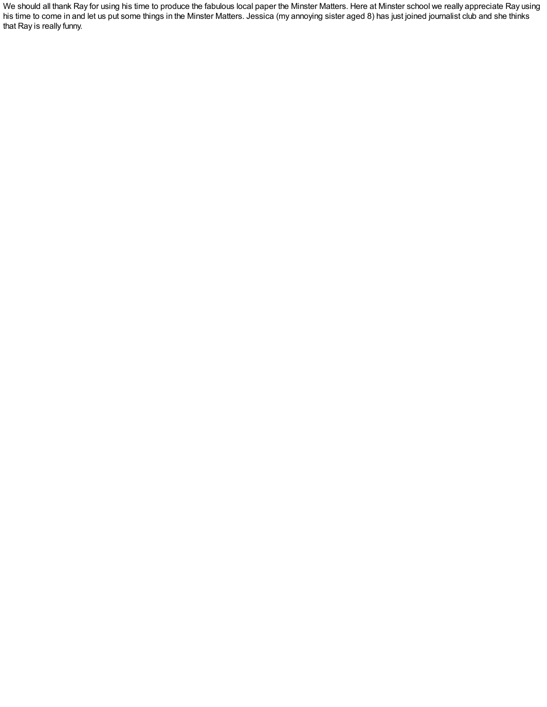We should all thank Ray for using his time to produce the fabulous local paper the Minster Matters. Here at Minster school we really appreciate Ray using his time to come in and let us put some things in the Minster Matters. Jessica (my annoying sister aged 8) has just joined journalist club and she thinks that Ray is really funny.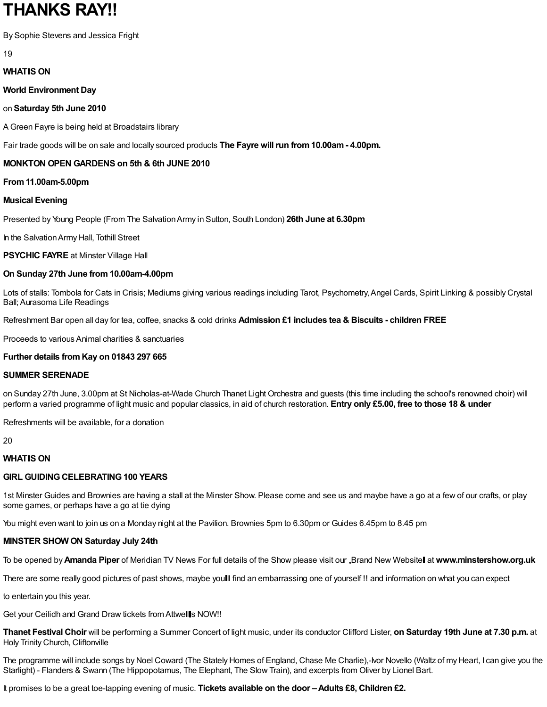## **THANKS RAY!!**

By Sophie Stevens and Jessica Fright

19

## **WHATIS ON**

**World Environment Day**

## on **Saturday 5th June 2010**

A Green Fayre is being held at Broadstairs library

Fair trade goods will be on sale and locally sourced products **The Fayre will run from10.00am- 4.00pm.**

## **MONKTON OPEN GARDENS on 5th & 6th JUNE 2010**

**From11.00am-5.00pm**

## **Musical Evening**

Presented by Young People (From The SalvationArmy in Sutton, South London) **26th June at 6.30pm**

In the SalvationArmy Hall, Tothill Street

**PSYCHIC FAYRE** at Minster Village Hall

## **On Sunday 27th June from10.00am-4.00pm**

Lots of stalls: Tombola for Cats in Crisis; Mediums giving various readings including Tarot, Psychometry,Angel Cards, Spirit Linking & possibly Crystal Ball;Aurasoma Life Readings

Refreshment Bar open all day for tea, coffee, snacks & cold drinks **Admission £1 includes tea & Biscuits - children FREE**

Proceeds to various Animal charities & sanctuaries

## **Further details fromKay on 01843 297 665**

## **SUMMER SERENADE**

on Sunday 27th June, 3.00pm at St Nicholas-at-Wade Church Thanet Light Orchestra and guests (this time including the school's renowned choir) will perform a varied programme of light music and popular classics, in aid of church restoration. **Entry only £5.00, free to those 18 & under**

Refreshments will be available, for a donation

20

## **WHATIS ON**

## **GIRL GUIDINGCELEBRATING100 YEARS**

1st Minster Guides and Brownies are having a stall at the Minster Show. Please come and see us and maybe have a go at a few of our crafts, or play some games, or perhaps have a go at tie dying

You might even want to join us on a Monday night at the Pavilion. Brownies 5pm to 6.30pm or Guides 6.45pm to 8.45 pm

## **MINSTER SHOW ON Saturday July 24th**

To be opened by**Amanda Piper** of Meridian TV News For full details of the Show please visit our "Brand New Website at **www.minstershow.org.uk**

There are some really good pictures of past shows, maybe youll find an embarrassing one of yourself!! and information on what you can expect

to entertain you this year.

Get your Ceilidh and Grand Draw tickets from Attwells NOW!!

**Thanet Festival Choir** will be performing a Summer Concert of light music, under its conductor Clifford Lister, **on Saturday 19th June at 7.30 p.m.** at Holy Trinity Church, Cliftonville

The programme will include songs by Noel Coward (The Stately Homes of England, Chase Me Charlie),-Ivor Novello (Waltz of my Heart, I can give you the Starlight) - Flanders & Swann (The Hippopotamus, The Elephant, The Slow Train), and excerpts from Oliver by Lionel Bart.

It promises to be a great toe-tapping evening of music. **Tickets available on the door –Adults £8, Children £2.**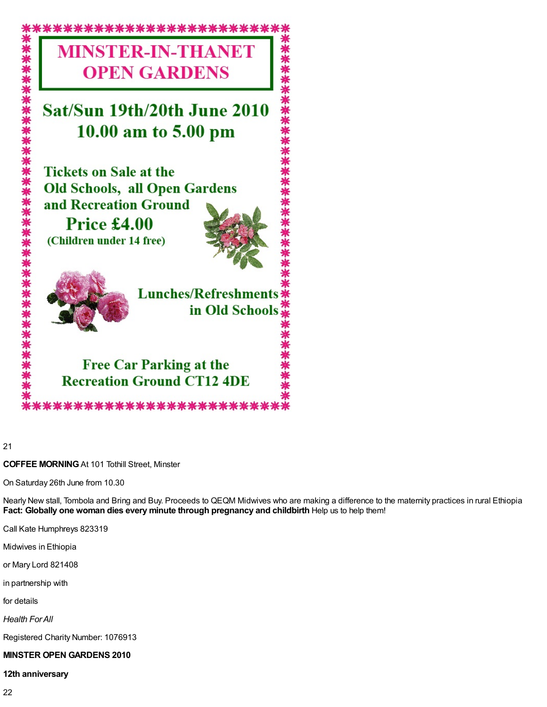

21

#### **COFFEE MORNING**At 101 Tothill Street, Minster

On Saturday 26th June from 10.30

Nearly New stall, Tombola and Bring and Buy. Proceeds to QEQM Midwives who are making a difference to the maternity practices in rural Ethiopia **Fact: Globally one woman dies every minute through pregnancy and childbirth** Help us to help them!

Call Kate Humphreys 823319

Midwives in Ethiopia

or Mary Lord 821408

in partnership with

for details

*Health ForAll*

Registered Charity Number: 1076913

#### **MINSTER OPEN GARDENS 2010**

#### **12th anniversary**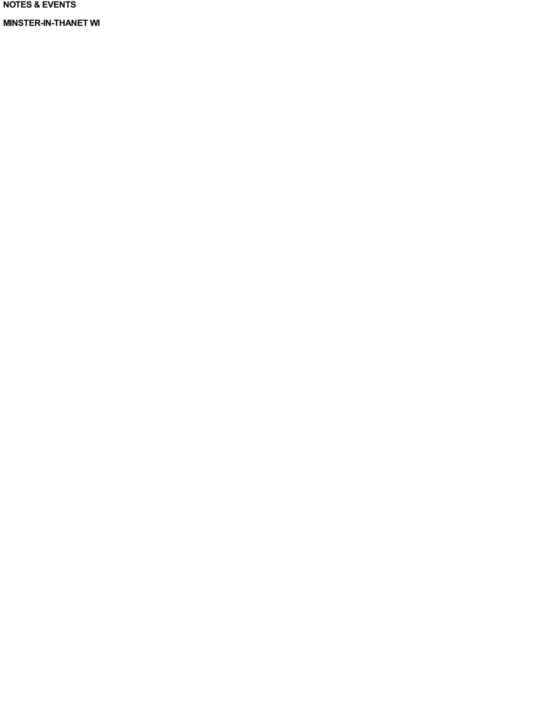**NOTES & EVENTS**

**MINSTER-IN-THANET WI**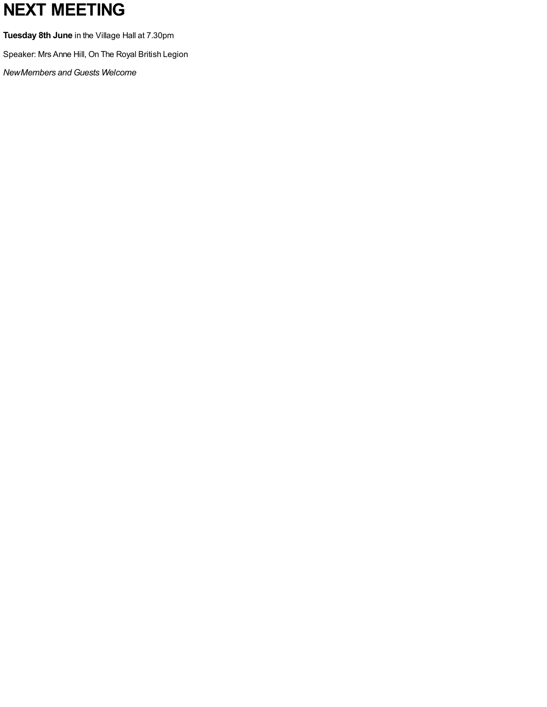# **NEXT MEETING**

**Tuesday 8th June** in the Village Hall at 7.30pm

Speaker: Mrs Anne Hill, On The Royal British Legion

*NewMembers and Guests Welcome*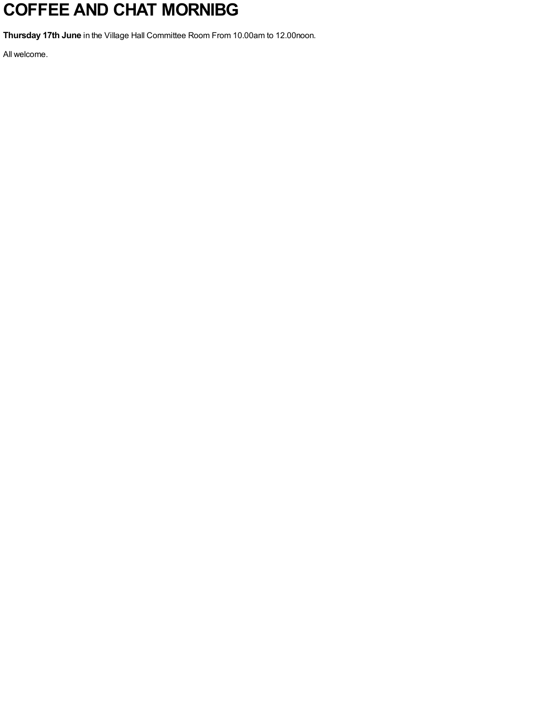# **COFFEE AND CHAT MORNIBG**

**Thursday 17th June** in the Village Hall Committee Room From 10.00am to 12.00noon.

All welcome.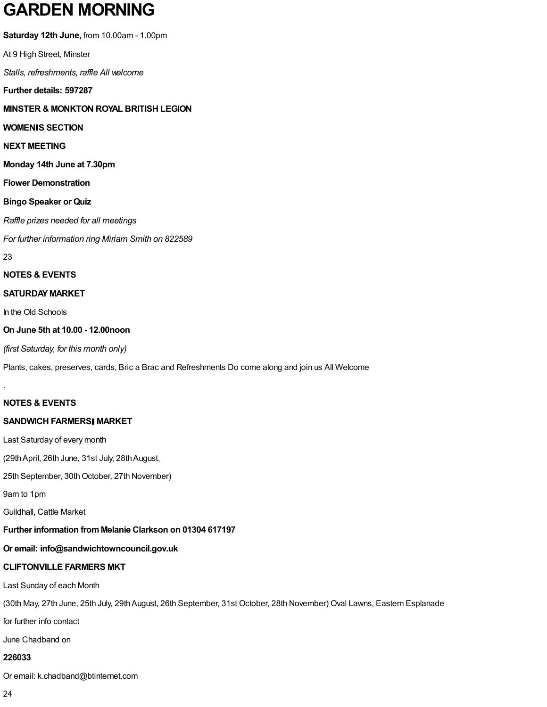## **GARDEN MORNING**

**Saturday 12th June,** from 10.00am - 1.00pm

At 9 High Street, Minster

*Stalls, refreshments, raffle All welcome*

**Further details: 597287**

**MINSTER & MONKTON ROYAL BRITISH LEGION**

#### **WOMEN S SECTION**

#### **NEXT MEETING**

**Monday 14th June at 7.30pm**

#### **Flower Demonstration**

#### **Bingo Speaker or Quiz**

*Raffle prizes needed for all meetings*

*For further information ring Miriam Smith on 822589*

23

.

#### **NOTES & EVENTS**

#### **SATURDAY MARKET**

In the Old Schools

#### **On June 5th at 10.00 - 12.00noon**

*(first Saturday, for this month only)*

Plants, cakes, preserves, cards, Bric a Brac and Refreshments Do come along and join us All Welcome

#### **NOTES & EVENTS**

#### **SANDWICH FARMERS MARKET**

Last Saturday of every month

(29thApril, 26th June, 31st July, 28thAugust,

25th September, 30th October, 27th November)

9am to 1pm

Guildhall, Cattle Market

#### **Further information fromMelanie Clarkson on 01304 617197**

## **Or email: info@sandwichtowncouncil.gov.uk**

## **CLIFTONVILLE FARMERS MKT**

Last Sunday of each Month

(30th May, 27th June, 25th July, 29thAugust, 26th September, 31st October, 28th November) Oval Lawns, Eastern Esplanade

for further info contact

June Chadband on

## **226033**

Or email: k.chadband@btinternet.com

24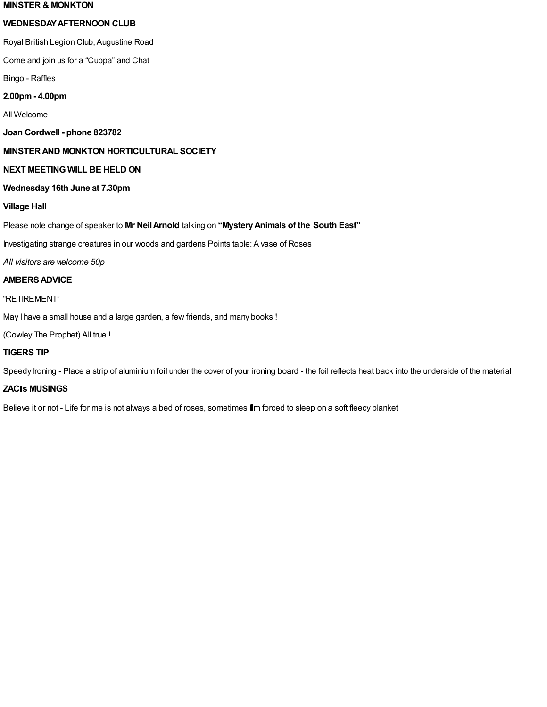#### **MINSTER & MONKTON**

#### **WEDNESDAYAFTERNOON CLUB**

Royal British Legion Club, Augustine Road

Come and join us for a "Cuppa" and Chat

Bingo - Raffles

#### **2.00pm- 4.00pm**

All Welcome

**Joan Cordwell - phone 823782**

#### **MINSTERAND MONKTON HORTICULTURAL SOCIETY**

#### **NEXT MEETING WILL BE HELD ON**

#### **Wednesday 16th June at 7.30pm**

#### **Village Hall**

Please note change of speaker to **Mr NeilArnold** talking on **"MysteryAnimals of the South East"**

Investigating strange creatures in our woods and gardens Points table:A vase of Roses

*All visitors are welcome 50p*

#### **AMBERSADVICE**

#### "RETIREMENT"

May I have a small house and a large garden, a few friends, and many books !

(Cowley The Prophet) All true !

#### **TIGERS TIP**

Speedy Ironing - Place a strip of aluminium foil under the cover of your ironing board - the foil reflects heat back into the underside of the material

#### **ZAC s MUSINGS**

Believe it or not - Life for me is not always a bed of roses, sometimes IIm forced to sleep on a soft fleecy blanket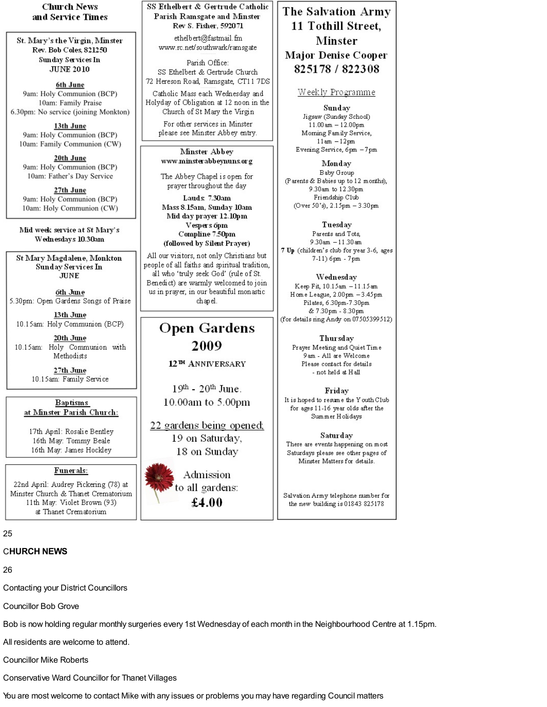**Church News** and Service Times

St. Mary's the Virgin, Minster Rev. Bob Coles, 821250 Sunday Services In **JUNE 2010** 

6th June 9am: Holy Communion (BCP) 10am: Family Praise 6.30pm: No service (joining Monkton)

13th June 9am: Holy Communion (BCP) 10am: Family Communion (CW)

20th June 9am: Holy Communion (BCP) 10am: Father's Day Service

27th June 9am: Holy Communion (BCP) 10am: Holy Communion (CW)

Mid week service at St Mary's Wednesdays 10.30am

St Mary Magdalene, Monkton **Sunday Services In JUNE** 

6th June 5.30pm: Open Gardens Songs of Praise

13th June 10.15am: Holy Communion (BCP)

20th June 10.15am: Holy Communion with Methodists

> 27th June 10.15am: Family Service

#### **Baptisms** at Minster Parish Church:

17th April: Rosalie Bentley 16th May: Tommy Beale 16th May: James Hockley

#### Funerals:

22nd April: Audrey Pickering (78) at Minster Church & Thanet Crematorium 11th May: Violet Brown (93) at Thanet Crematorium

 $25$ 

#### C**HURCH NEWS**

26

Contacting your District Councillors

Councillor Bob Grove

Bob is now holding regular monthly surgeries every 1st Wednesday of each month in the Neighbourhood Centre at 1.15pm.

All residents are welcome to attend.

Councillor Mike Roberts

Conservative Ward Councillor for Thanet Villages

You are most welcome to contact Mike with any issues or problems you may have regarding Council matters

SS Ethelbert & Gertrude Catholic Parish Ramsgate and Minster Rev S. Fisher, 592071

ethelbert@fastmail.fm www.rc.net/southwark/ramsgate

Parish Office: SS Ethelbert & Gertrude Church 72 Hereson Road, Ramsgate, CT11 7DS

Catholic Mass each Wednesday and Holyday of Obligation at 12 noon in the Church of St Mary the Virgin

For other services in Minster please see Minster Abbey entry.

Minster Abbey www.minsterabbeynuns.org

The Abbey Chapel is open for prayer throughout the day

Lauds 7.30am Mass 8.15am, Sunday 10am Mid day prayer 12.10pm Vespers 6pm Compline 7.50pm (followed by Silent Prayer)

All our visitors, not only Christians but people of all faiths and spiritual tradition, all who 'truly seek God' (rule of St. Benedict) are warmly welcomed to join us in prayer, in our beautiful monastic chapel.

## **Open Gardens** 2009 12<sup>TH</sup> ANNIVERSARY

 $19<sup>th</sup>$  -  $20<sup>th</sup>$  June. 10.00am to 5.00pm

22 gardens being opened; 19 on Saturday, 18 on Sunday

Admission to all gardens:  $£4.00$ 

## The Salvation Army 11 Tothill Street, Minster **Major Denise Cooper** 825178 / 822308

#### Weekly Programme

Sunday Jigsaw (Sunday School)  $11.00$  am  $-12.00$ pm Morning Family Service,  $11am - 12pm$ Evening Service, 6pm -7pm

Monday Baby Group (Parents & Babies up to 12 months), 9.30am to 12.30pm Friendship Club (Over 50's), 2.15pm - 3.30pm

Tuesday Parents and Tots,  $9.30$ am  $-11.30$ am 7 Up (children's club for year 3-6, ages 7-11) 6pm - 7pm

Wednesday Keep Fit, 10.15am -11.15am Home League, 2.00pm - 3.45pm Pilates, 6.30pm-7.30pm & 7.30pm - 8.30pm (for details ring Andy on 07505399512)

Thursday Prayer Meeting and Quiet Time 9am - All are Welcome Please contact for details - not held at Hall

Friday It is hoped to resume the Youth Club for ages 11-16 year olds after the Summer Holidays

Saturday There are events happening on most Saturdays please see other pages of Minster Matters for details.

Salvation Army telephone number for the new building is 01843 825178